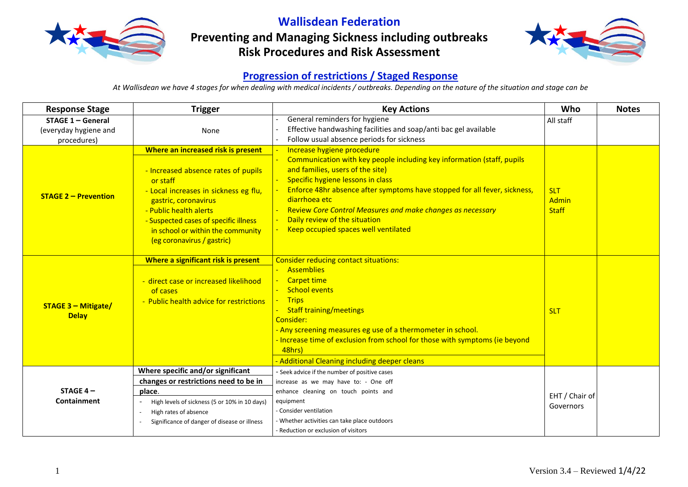

**Wallisdean Federation Preventing and Managing Sickness including outbreaks**

**Risk Procedures and Risk Assessment**



## **Progression of restrictions / Staged Response**

*At Wallisdean we have 4 stages for when dealing with medical incidents / outbreaks. Depending on the nature of the situation and stage can be*

| <b>Response Stage</b>                                       | <b>Trigger</b>                                                                                                                                                                                                                                         | <b>Key Actions</b>                                                                                                                                                                                                                                                                                                                                                                          | Who                                        | <b>Notes</b> |
|-------------------------------------------------------------|--------------------------------------------------------------------------------------------------------------------------------------------------------------------------------------------------------------------------------------------------------|---------------------------------------------------------------------------------------------------------------------------------------------------------------------------------------------------------------------------------------------------------------------------------------------------------------------------------------------------------------------------------------------|--------------------------------------------|--------------|
| $STAGE 1 - General$<br>(everyday hygiene and<br>procedures) | None                                                                                                                                                                                                                                                   | General reminders for hygiene<br>Effective handwashing facilities and soap/anti bac gel available<br>Follow usual absence periods for sickness                                                                                                                                                                                                                                              | All staff                                  |              |
|                                                             | Where an increased risk is present                                                                                                                                                                                                                     | Increase hygiene procedure                                                                                                                                                                                                                                                                                                                                                                  |                                            |              |
| <b>STAGE 2 – Prevention</b>                                 | - Increased absence rates of pupils<br>or staff<br>- Local increases in sickness eg flu,<br>gastric, coronavirus<br>- Public health alerts<br>- Suspected cases of specific illness<br>in school or within the community<br>(eg coronavirus / gastric) | Communication with key people including key information (staff, pupils<br>and families, users of the site)<br>Specific hygiene lessons in class<br>Enforce 48hr absence after symptoms have stopped for all fever, sickness,<br>diarrhoea etc<br><b>Review Core Control Measures and make changes as necessary</b><br>Daily review of the situation<br>Keep occupied spaces well ventilated | <b>SLT</b><br><b>Admin</b><br><b>Staff</b> |              |
| <b>STAGE 3 - Mitigate/</b><br><b>Delay</b>                  | Where a significant risk is present<br>- direct case or increased likelihood<br>of cases<br>- Public health advice for restrictions                                                                                                                    | <b>Consider reducing contact situations:</b><br><b>Assemblies</b><br><b>Carpet time</b><br><b>School events</b><br><b>Trips</b><br><b>Staff training/meetings</b><br>Consider:<br>- Any screening measures eg use of a thermometer in school.<br>- Increase time of exclusion from school for those with symptoms (ie beyond<br>48hrs)<br>- Additional Cleaning including deeper cleans     | <b>SLT</b>                                 |              |
|                                                             | Where specific and/or significant                                                                                                                                                                                                                      | - Seek advice if the number of positive cases                                                                                                                                                                                                                                                                                                                                               |                                            |              |
|                                                             | changes or restrictions need to be in                                                                                                                                                                                                                  | increase as we may have to: - One off                                                                                                                                                                                                                                                                                                                                                       |                                            |              |
| STAGE $4-$                                                  | place.                                                                                                                                                                                                                                                 | enhance cleaning on touch points and                                                                                                                                                                                                                                                                                                                                                        | EHT / Chair of                             |              |
| <b>Containment</b>                                          | High levels of sickness (5 or 10% in 10 days)                                                                                                                                                                                                          | equipment                                                                                                                                                                                                                                                                                                                                                                                   | Governors                                  |              |
|                                                             | High rates of absence                                                                                                                                                                                                                                  | - Consider ventilation                                                                                                                                                                                                                                                                                                                                                                      |                                            |              |
|                                                             | Significance of danger of disease or illness                                                                                                                                                                                                           | - Whether activities can take place outdoors                                                                                                                                                                                                                                                                                                                                                |                                            |              |
|                                                             |                                                                                                                                                                                                                                                        | - Reduction or exclusion of visitors                                                                                                                                                                                                                                                                                                                                                        |                                            |              |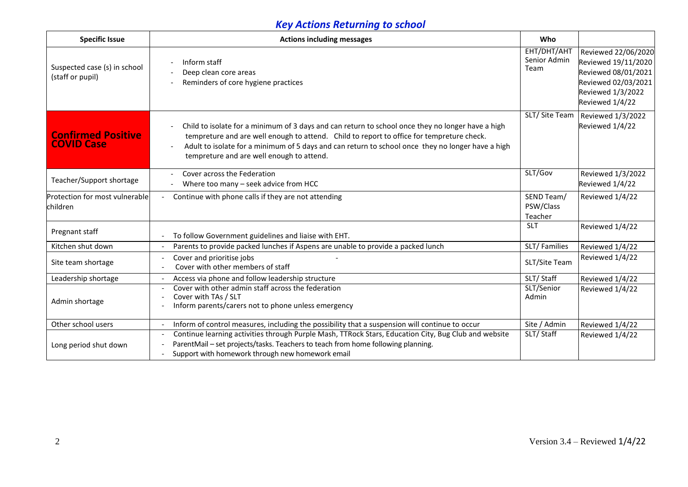## *Key Actions Returning to school*

| <b>Specific Issue</b>                            | <b>Actions including messages</b>                                                                                                                                                                                                                                                                                                                                                                        | Who                                 |                                                                                                                                  |
|--------------------------------------------------|----------------------------------------------------------------------------------------------------------------------------------------------------------------------------------------------------------------------------------------------------------------------------------------------------------------------------------------------------------------------------------------------------------|-------------------------------------|----------------------------------------------------------------------------------------------------------------------------------|
| Suspected case (s) in school<br>(staff or pupil) | Inform staff<br>$\overline{a}$<br>Deep clean core areas<br>Reminders of core hygiene practices                                                                                                                                                                                                                                                                                                           | EHT/DHT/AHT<br>Senior Admin<br>Team | Reviewed 22/06/2020<br>Reviewed 19/11/2020<br>Reviewed 08/01/2021<br>Reviewed 02/03/2021<br>Reviewed 1/3/2022<br>Reviewed 1/4/22 |
| <b>Confirmed Positive</b><br><b>COVID Case</b>   | Child to isolate for a minimum of 3 days and can return to school once they no longer have a high<br>$\overline{\phantom{a}}$<br>tempreture and are well enough to attend. Child to report to office for tempreture check.<br>Adult to isolate for a minimum of 5 days and can return to school once they no longer have a high<br>$\overline{\phantom{a}}$<br>tempreture and are well enough to attend. | SLT/Site Team                       | Reviewed 1/3/2022<br>Reviewed 1/4/22                                                                                             |
| Teacher/Support shortage                         | Cover across the Federation<br>Where too many - seek advice from HCC                                                                                                                                                                                                                                                                                                                                     | SLT/Gov                             | Reviewed 1/3/2022<br>Reviewed 1/4/22                                                                                             |
| Protection for most vulnerable<br>children       | Continue with phone calls if they are not attending                                                                                                                                                                                                                                                                                                                                                      | SEND Team/<br>PSW/Class<br>Teacher  | Reviewed 1/4/22                                                                                                                  |
| Pregnant staff                                   | To follow Government guidelines and liaise with EHT.                                                                                                                                                                                                                                                                                                                                                     | <b>SLT</b>                          | Reviewed 1/4/22                                                                                                                  |
| Kitchen shut down                                | Parents to provide packed lunches if Aspens are unable to provide a packed lunch                                                                                                                                                                                                                                                                                                                         | SLT/Families                        | Reviewed 1/4/22                                                                                                                  |
| Site team shortage                               | Cover and prioritise jobs<br>Cover with other members of staff                                                                                                                                                                                                                                                                                                                                           | SLT/Site Team                       | Reviewed 1/4/22                                                                                                                  |
| Leadership shortage                              | Access via phone and follow leadership structure                                                                                                                                                                                                                                                                                                                                                         | SLT/Staff                           | Reviewed 1/4/22                                                                                                                  |
| Admin shortage                                   | Cover with other admin staff across the federation<br>$\overline{\phantom{a}}$<br>Cover with TAs / SLT<br>Inform parents/carers not to phone unless emergency                                                                                                                                                                                                                                            |                                     | Reviewed 1/4/22                                                                                                                  |
| Other school users                               | Inform of control measures, including the possibility that a suspension will continue to occur                                                                                                                                                                                                                                                                                                           | Site / Admin                        | Reviewed 1/4/22                                                                                                                  |
| Long period shut down                            | Continue learning activities through Purple Mash, TTRock Stars, Education City, Bug Club and website<br>ParentMail - set projects/tasks. Teachers to teach from home following planning.<br>Support with homework through new homework email                                                                                                                                                             | SLT/Staff                           | Reviewed 1/4/22                                                                                                                  |